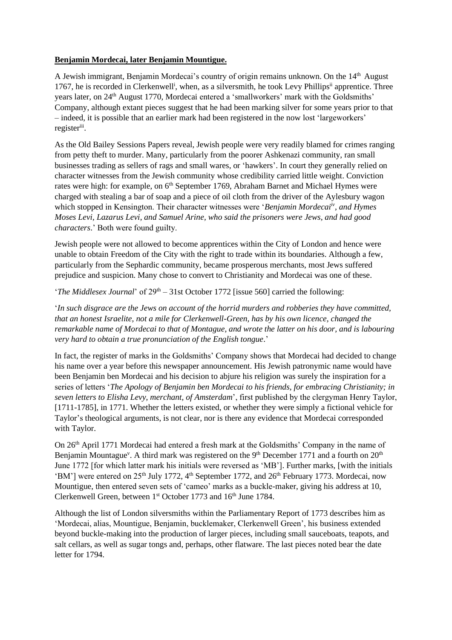## **Benjamin Mordecai, later Benjamin Mountigue.**

A Jewish immigrant, Benjamin Mordecai's country of origin remains unknown. On the 14<sup>th</sup> August 1767, he is recorded in Clerkenwell<sup>i</sup>, when, as a silversmith, he took Levy Phillips<sup>ii</sup> apprentice. Three years later, on 24<sup>th</sup> August 1770, Mordecai entered a 'smallworkers' mark with the Goldsmiths' Company, although extant pieces suggest that he had been marking silver for some years prior to that – indeed, it is possible that an earlier mark had been registered in the now lost 'largeworkers' register<sup>iii</sup>.

As the Old Bailey Sessions Papers reveal, Jewish people were very readily blamed for crimes ranging from petty theft to murder. Many, particularly from the poorer Ashkenazi community, ran small businesses trading as sellers of rags and small wares, or 'hawkers'. In court they generally relied on character witnesses from the Jewish community whose credibility carried little weight. Conviction rates were high: for example, on 6<sup>th</sup> September 1769, Abraham Barnet and Michael Hymes were charged with stealing a bar of soap and a piece of oil cloth from the driver of the Aylesbury wagon which stopped in Kensington. Their character witnesses were '*Benjamin Mordecaiiv, and Hymes Moses Levi, Lazarus Levi, and Samuel Arine, who said the prisoners were Jews, and had good characters*.' Both were found guilty.

Jewish people were not allowed to become apprentices within the City of London and hence were unable to obtain Freedom of the City with the right to trade within its boundaries. Although a few, particularly from the Sephardic community, became prosperous merchants, most Jews suffered prejudice and suspicion. Many chose to convert to Christianity and Mordecai was one of these.

'*The Middlesex Journal*' of 29<sup>th</sup> – 31st October 1772 [issue 560] carried the following:

'*In such disgrace are the Jews on account of the horrid murders and robberies they have committed, that an honest Israelite, not a mile for Clerkenwell-Green, has by his own licence, changed the remarkable name of Mordecai to that of Montague, and wrote the latter on his door, and is labouring very hard to obtain a true pronunciation of the English tongue*.'

In fact, the register of marks in the Goldsmiths' Company shows that Mordecai had decided to change his name over a year before this newspaper announcement. His Jewish patronymic name would have been Benjamin ben Mordecai and his decision to abjure his religion was surely the inspiration for a series of letters '*The Apology of Benjamin ben Mordecai to his friends, for embracing Christianity; in seven letters to Elisha Levy, merchant, of Amsterdam*', first published by the clergyman Henry Taylor, [1711-1785], in 1771. Whether the letters existed, or whether they were simply a fictional vehicle for Taylor's theological arguments, is not clear, nor is there any evidence that Mordecai corresponded with Taylor.

On 26<sup>th</sup> April 1771 Mordecai had entered a fresh mark at the Goldsmiths' Company in the name of Benjamin Mountague<sup>v</sup>. A third mark was registered on the 9<sup>th</sup> December 1771 and a fourth on 20<sup>th</sup> June 1772 [for which latter mark his initials were reversed as 'MB']. Further marks, [with the initials 'BM'] were entered on 25<sup>th</sup> July 1772, 4<sup>th</sup> September 1772, and 26<sup>th</sup> February 1773. Mordecai, now Mountigue, then entered seven sets of 'cameo' marks as a buckle-maker, giving his address at 10, Clerkenwell Green, between  $1<sup>st</sup>$  October 1773 and  $16<sup>th</sup>$  June 1784.

Although the list of London silversmiths within the Parliamentary Report of 1773 describes him as 'Mordecai, alias, Mountigue, Benjamin, bucklemaker, Clerkenwell Green', his business extended beyond buckle-making into the production of larger pieces, including small sauceboats, teapots, and salt cellars, as well as sugar tongs and, perhaps, other flatware. The last pieces noted bear the date letter for 1794.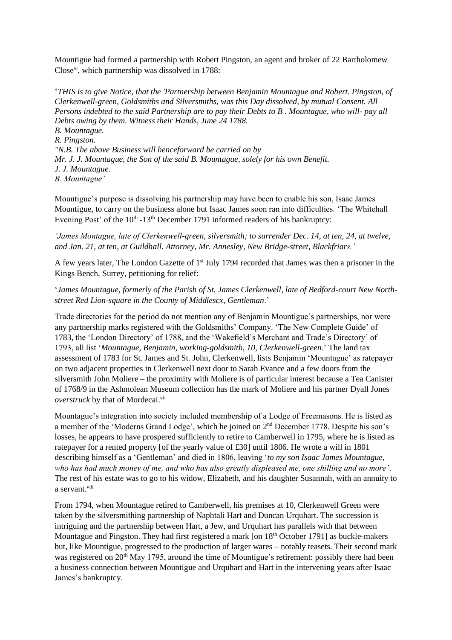Mountigue had formed a partnership with Robert Pingston, an agent and broker of 22 Bartholomew Closevi, which partnership was dissolved in 1788:

'*THIS is to give Notice, that the 'Partnership between Benjamin Mountague and Robert. Pingston, of Clerkenwell-green, Goldsmiths and Silversmiths, was this Day dissolved, by mutual Consent. All Persons indebted to the said Partnership are to pay their Debts to B . Mountague, who will- pay all Debts owing by them. Witness their Hands, June 24 1788. B. Mountague. R. Pingston. "N.B. The above Business will henceforward be carried on by Mr. J. J. Mountague, the Son of the said B. Mountague, solely for his own Benefit. J. J. Mountague. B. Mountague'*

Mountigue's purpose is dissolving his partnership may have been to enable his son, Isaac James Mountigue, to carry on the business alone but Isaac James soon ran into difficulties. 'The Whitehall Evening Post' of the  $10<sup>th</sup> - 13<sup>th</sup>$  December 1791 informed readers of his bankruptcy:

*'James Montague, late of Clerkenwell-green, silversmith; to surrender Dec. 14, at ten, 24, at twelve, and Jan. 21, at ten, at Guildhall. Attorney, Mr. Annesley, New Bridge-street, Blackfriars.'* 

A few years later. The London Gazette of  $1<sup>st</sup>$  July 1794 recorded that James was then a prisoner in the Kings Bench, Surrey, petitioning for relief:

'*James Mountague, formerly of the Parish of St. James Clerkenwell, late of Bedford-court New Northstreet Red Lion-square in the County of Middlescx, Gentleman*.'

Trade directories for the period do not mention any of Benjamin Mountigue's partnerships, nor were any partnership marks registered with the Goldsmiths' Company. 'The New Complete Guide' of 1783, the 'London Directory' of 1788, and the 'Wakefield's Merchant and Trade's Directory' of 1793, all list '*Mountague, Benjamin, working-goldsmith, 10, Clerkenwell-green.*' The land tax assessment of 1783 for St. James and St. John, Clerkenwell, lists Benjamin 'Mountague' as ratepayer on two adjacent properties in Clerkenwell next door to Sarah Evance and a few doors from the silversmith John Moliere – the proximity with Moliere is of particular interest because a Tea Canister of 1768/9 in the Ashmolean Museum collection has the mark of Moliere and his partner Dyall Jones *overstruck* by that of Mordecai.<sup>vii</sup>

Mountague's integration into society included membership of a Lodge of Freemasons. He is listed as a member of the 'Moderns Grand Lodge', which he joined on 2nd December 1778. Despite his son's losses, he appears to have prospered sufficiently to retire to Camberwell in 1795, where he is listed as ratepayer for a rented property [of the yearly value of £30] until 1806. He wrote a will in 1801 describing himself as a 'Gentleman' and died in 1806, leaving '*to my son Isaac James Mountague, who has had much money of me, and who has also greatly displeased me, one shilling and no more'*. The rest of his estate was to go to his widow, Elizabeth, and his daughter Susannah, with an annuity to a servant.viii

From 1794, when Mountague retired to Camberwell, his premises at 10, Clerkenwell Green were taken by the silversmithing partnership of Naphtali Hart and Duncan Urquhart. The succession is intriguing and the partnership between Hart, a Jew, and Urquhart has parallels with that between Mountague and Pingston. They had first registered a mark [on 18<sup>th</sup> October 1791] as buckle-makers but, like Mountigue, progressed to the production of larger wares – notably teasets. Their second mark was registered on 20<sup>th</sup> May 1795, around the time of Mountigue's retirement: possibly there had been a business connection between Mountigue and Urquhart and Hart in the intervening years after Isaac James's bankruptcy.